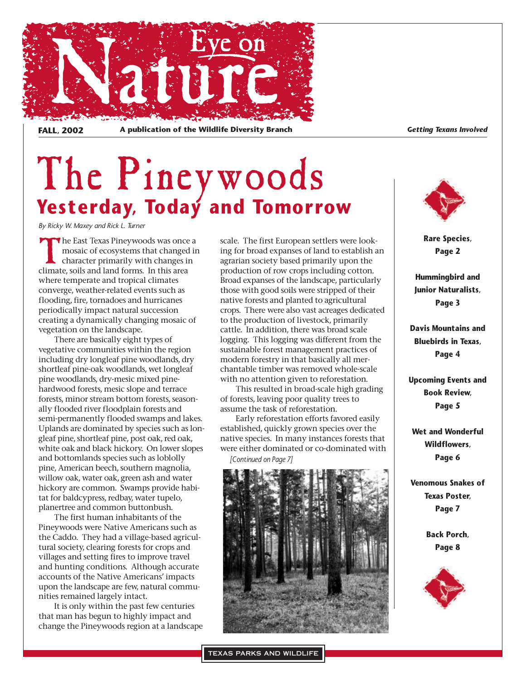

FALL, 2002 A publication of the Wildlife Diversity Branch<br> **FALL, 2002** A publication of the Wildlife Diversity Branch

# The Pineywoods **Yesterday, Today and Tomorrow**

*By Ricky W. Maxey and Rick L. Turner*

The East Texas Pineywoods was once a mosaic of ecosystems that changed in character primarily with changes in climate, soils and land forms. In this area where temperate and tropical climates converge, weather-related events such as flooding, fire, tornadoes and hurricanes periodically impact natural succession creating a dynamically changing mosaic of vegetation on the landscape.

There are basically eight types of vegetative communities within the region including dry longleaf pine woodlands, dry shortleaf pine-oak woodlands, wet longleaf pine woodlands, dry-mesic mixed pinehardwood forests, mesic slope and terrace forests, minor stream bottom forests, seasonally flooded river floodplain forests and semi-permanently flooded swamps and lakes. Uplands are dominated by species such as longleaf pine, shortleaf pine, post oak, red oak, white oak and black hickory. On lower slopes and bottomlands species such as loblolly pine, American beech, southern magnolia, willow oak, water oak, green ash and water hickory are common. Swamps provide habitat for baldcypress, redbay, water tupelo, planertree and common buttonbush.

The first human inhabitants of the Pineywoods were Native Americans such as the Caddo. They had a village-based agricultural society, clearing forests for crops and villages and setting fires to improve travel and hunting conditions. Although accurate accounts of the Native Americans' impacts upon the landscape are few, natural communities remained largely intact.

It is only within the past few centuries that man has begun to highly impact and change the Pineywoods region at a landscape scale. The first European settlers were looking for broad expanses of land to establish an agrarian society based primarily upon the production of row crops including cotton. Broad expanses of the landscape, particularly those with good soils were stripped of their native forests and planted to agricultural crops. There were also vast acreages dedicated to the production of livestock, primarily cattle. In addition, there was broad scale logging. This logging was different from the sustainable forest management practices of modern forestry in that basically all merchantable timber was removed whole-scale with no attention given to reforestation.

This resulted in broad-scale high grading of forests, leaving poor quality trees to assume the task of reforestation.

Early reforestation efforts favored easily established, quickly grown species over the native species. In many instances forests that were either dominated or co-dominated with

*[Continued on Page 7]*





**Rare Species, Page 2**

**Hummingbird and Junior Naturalists, Page 3**

**Davis Mountains and Bluebirds in Texas, Page 4**

**Upcoming Events and Book Review, Page 5**

**Wet and Wonderful Wildflowers, Page 6**

**Venomous Snakes of Texas Poster, Page 7**

> **Back Porch, Page 8**

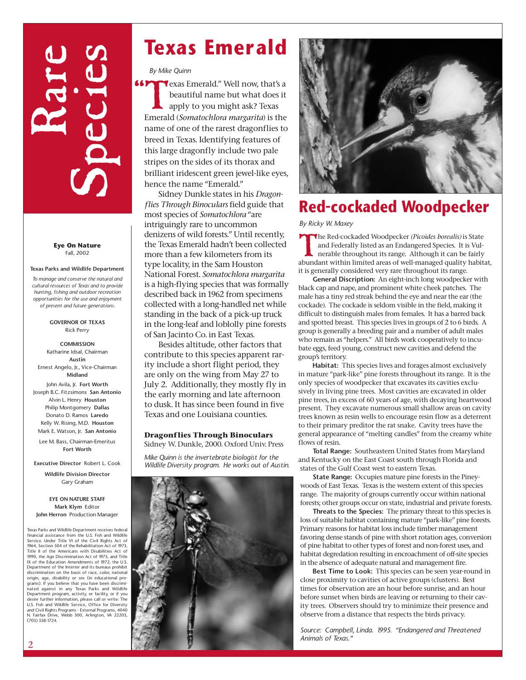# Rare Species

**Eye On Nature** Fall, 2002

#### **Texas Parks and Wildlife Department**

*To manage and conserve the natural and cultural resources of Texas and to provide hunting, fishing and outdoor recreation opportunities for the use and enjoyment of present and future generations.*

> **GOVERNOR OF TEXAS** Rick Perry

**COMMISSION** Katharine Idsal, Chairman **Austin** Ernest Angelo, Jr., Vice-Chairman **Midland** John Avila, Jr. **Fort Worth**

Joseph B.C. Fitzsimons **San Antonio** Alvin L. Henry **Houston** Philip Montgomery **Dallas** Donato D. Ramos **Laredo** Kelly W. Rising, M.D. **Houston** Mark E. Watson, Jr. **San Antonio**

Lee M. Bass, Chairman-Emeritus **Fort Worth**

**Executive Director** Robert L. Cook

**Wildlife Division Director** Gary Graham

**EYE ON NATURE STAFF Mark Klym** Editor **John Herron** Production Manager

Texas Parks and Wildlife Department receives federal financial assistance from the U.S. Fish and Wildlife Service. Under Title VI of the Civil Rights Act of 1964, Section 504 of the Rehabilitation Act of 1973, Title II of the Americans with Disabilities Act of 1990, the Age Discrimination Act of 1975, and Title IX of the Education Amendments of 1972, the U.S. Department of the Interior and its bureaus prohibit discrimination on the basis of race, color, national origin, age, disability or sex (in educational pro-grams). If you believe that you have been discriminated against in any Texas Parks and Wildlife Department program, activity, or facility, or if you desire further information, please call or write: The U.S. Fish and Wildlife Service, Office for Diversity and Civil Rights Programs - External Programs, 4040 N. Fairfax Drive, Webb 300, Arlington, VA 22203, (703) 358-1724.

## **Texas Emerald**

*By Mike Quinn*

" **66PY** exas Emerald." Well now, that's a beautiful name but what does it apply to you might ask? Texas Emerald (*Somatochlora margarita*) is the name of one of the rarest dragonflies to breed in Texas. Identifying features of this large dragonfly include two pale stripes on the sides of its thorax and brilliant iridescent green jewel-like eyes, hence the name "Emerald."

Sidney Dunkle states in his *Dragonflies Through Binoculars* field guide that most species of *Somatochlora* "are intriguingly rare to uncommon denizens of wild forests." Until recently, the Texas Emerald hadn't been collected more than a few kilometers from its type locality, in the Sam Houston National Forest. *Somatochlora margarita* is a high-flying species that was formally described back in 1962 from specimens collected with a long-handled net while standing in the back of a pick-up truck in the long-leaf and loblolly pine forests of San Jacinto Co. in East Texas.

Besides altitude, other factors that contribute to this species apparent rarity include a short flight period, they are only on the wing from May 27 to July 2. Additionally, they mostly fly in the early morning and late afternoon to dusk. It has since been found in five Texas and one Louisiana counties.

#### **Dragonflies Through Binoculars**

Sidney W. Dunkle, 2000. Oxford Univ. Press

*Mike Quinn is the invertebrate biologist for the Wildlife Diversity program. He works out of Austin.*





#### **Red-cockaded Woodpecker**

*By Ricky W. Maxey*

The Red-cockaded Woodpecker *(Picoides borealis)* is State and Federally listed as an Endangered Species. It is Vulnerable throughout its range. Although it can be fairly abundant within limited areas of well-managed quali and Federally listed as an Endangered Species. It is Vulabundant within limited areas of well-managed quality habitat, it is generally considered very rare throughout its range.

**General Discription:** An eight-inch long woodpecker with black cap and nape, and prominent white cheek patches. The male has a tiny red streak behind the eye and near the ear (the cockade). The cockade is seldom visible in the field, making it difficult to distinguish males from females. It has a barred back and spotted breast. This species lives in groups of 2 to 6 birds. A group is generally a breeding pair and a number of adult males who remain as "helpers." All birds work cooperatively to incubate eggs, feed young, construct new cavities and defend the group's territory.

**Habitat:** This species lives and forages almost exclusively in mature "park-like" pine forests throughout its range. It is the only species of woodpecker that excavates its cavities exclusively in living pine trees. Most cavities are excavated in older pine trees, in excess of 60 years of age, with decaying heartwood present. They excavate numerous small shallow areas on cavity trees known as resin wells to encourage resin flow as a deterrent to their primary preditor the rat snake. Cavity trees have the general appearance of "melting candles" from the creamy white flows of resin.

**Total Range:** Southeastern United States from Maryland and Kentucky on the East Coast south through Florida and states of the Gulf Coast west to eastern Texas.

**State Range:** Occupies mature pine forests in the Pineywoods of East Texas. Texas is the western extent of this species range. The majority of groups currently occur within national forests; other groups occur on state, industrial and private forests.

**Threats to the Species:** The primary threat to this species is loss of suitable habitat containing mature "park-like" pine forests. Primary reasons for habitat loss include timber management favoring dense stands of pine with short rotation ages, conversion of pine habitat to other types of forest and non-forest uses, and habitat degredation resulting in encroachment of off-site species in the absence of adequate natural and management fire.

**Best Time to Look:** This species can be seen year-round in close proximity to cavities of active groups (clusters). Best times for observation are an hour before sunrise, and an hour before sunset when birds are leaving or returning to their cavity trees. Observers should try to minimize their presence and observe from a distance that respects the birds privacy.

*Source: Campbell, Linda. 1995. "Endangered and Threatened Animals of Texas."*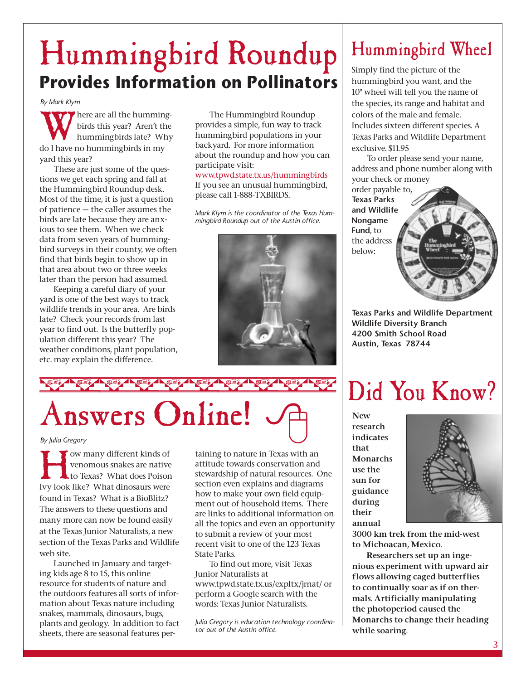## Hummingbird Roundup **Provides Information on Pollinators**

*By Mark Klym*

There are all the humming-<br>birds this year? Aren't the<br>hummingbirds late? Why<br>do I have no hummingbirds in my birds this year? Aren't the hummingbirds late? Why do I have no hummingbirds in my yard this year?

These are just some of the questions we get each spring and fall at the Hummingbird Roundup desk. Most of the time, it is just a question of patience — the caller assumes the birds are late because they are anxious to see them. When we check data from seven years of hummingbird surveys in their county, we often find that birds begin to show up in that area about two or three weeks later than the person had assumed.

Keeping a careful diary of your yard is one of the best ways to track wildlife trends in your area. Are birds late? Check your records from last year to find out. Is the butterfly population different this year? The weather conditions, plant population, etc. may explain the difference.

The Hummingbird Roundup provides a simple, fun way to track hummingbird populations in your backyard. For more information about the roundup and how you can participate visit:

www.tpwd.state.tx.us/hummingbirds If you see an unusual hummingbird, please call 1-888-TXBIRDS.

*Mark Klym is the coordinator of the Texas Hummingbird Roundup out of the Austin office.*



Answers Online!

**How many different kinds of<br>venomous snakes are native<br>to Texas? What does Poisor**<br>Ivy look like? What dinosaurs were venomous snakes are native to Texas? What does Poison Ivy look like? What dinosaurs were found in Texas? What is a BioBlitz? The answers to these questions and many more can now be found easily at the Texas Junior Naturalists, a new section of the Texas Parks and Wildlife web site.

Launched in January and targeting kids age 8 to 15, this online resource for students of nature and the outdoors features all sorts of information about Texas nature including snakes, mammals, dinosaurs, bugs, plants and geology. In addition to fact sheets, there are seasonal features pertaining to nature in Texas with an attitude towards conservation and stewardship of natural resources. One section even explains and diagrams how to make your own field equipment out of household items. There are links to additional information on all the topics and even an opportunity to submit a review of your most recent visit to one of the 123 Texas State Parks.

To find out more, visit Texas Junior Naturalists at www.tpwd.state.tx.us/expltx/jrnat/ or perform a Google search with the words: Texas Junior Naturalists.

*Julia Gregory is education technology coordinator out of the Austin office.*

## Hummingbird Wheel

Simply find the picture of the hummingbird you want, and the 10" wheel will tell you the name of the species, its range and habitat and colors of the male and female. Includes sixteen different species. A Texas Parks and Wildlife Department exclusive. \$11.95

To order please send your name, address and phone number along with your check or money

order payable to, **Texas Parks and Wildlife Nongame Fund**, to the address below:

**Texas Parks and Wildlife Department Wildlife Diversity Branch 4200 Smith School Road Austin, Texas 78744**

## Did You Know?

**New research indicates that Monarchs use the sun for guidance during their annual**



**3000 km trek from the mid-west to Michoacan, Mexico.** 

**Researchers set up an ingenious experiment with upward air flows allowing caged butterflies to continually soar as if on thermals. Artificially manipulating the photoperiod caused the Monarchs to change their heading while soaring.**

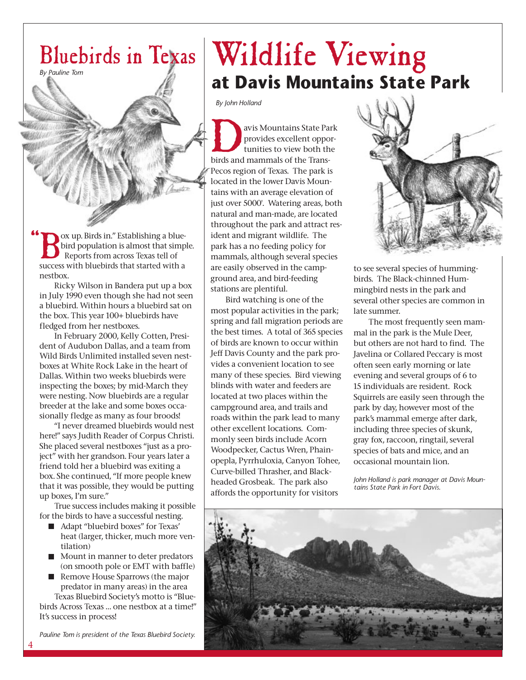

bird population is almost that simple. Reports from across Texas tell of success with bluebirds that started with a nestbox.

Ricky Wilson in Bandera put up a box in July 1990 even though she had not seen a bluebird. Within hours a bluebird sat on the box. This year 100+ bluebirds have fledged from her nestboxes.

In February 2000, Kelly Cotten, President of Audubon Dallas, and a team from Wild Birds Unlimited installed seven nestboxes at White Rock Lake in the heart of Dallas. Within two weeks bluebirds were inspecting the boxes; by mid-March they were nesting. Now bluebirds are a regular breeder at the lake and some boxes occasionally fledge as many as four broods!

"I never dreamed bluebirds would nest here!" says Judith Reader of Corpus Christi. She placed several nestboxes "just as a project" with her grandson. Four years later a friend told her a bluebird was exiting a box. She continued, "If more people knew that it was possible, they would be putting up boxes, I'm sure."

True success includes making it possible for the birds to have a successful nesting.

- Adapt "bluebird boxes" for Texas' heat (larger, thicker, much more ventilation)
- $\blacksquare$  Mount in manner to deter predators (on smooth pole or EMT with baffle)
- Remove House Sparrows (the major predator in many areas) in the area Texas Bluebird Society's motto is "Blue-

birds Across Texas … one nestbox at a time!" It's success in process!

*Pauline Tom is president of the Texas Bluebird Society.*

## Bluebirds in Texas Wildlife Viewing **at Davis Mountains State Park**

*By John Holland*

avis Mountains State Park<br>provides excellent oppor-<br>tunities to view both the<br>birds and mammals of the Transprovides excellent opportunities to view both the Pecos region of Texas. The park is located in the lower Davis Mountains with an average elevation of just over 5000'. Watering areas, both natural and man-made, are located throughout the park and attract resident and migrant wildlife. The park has a no feeding policy for mammals, although several species are easily observed in the campground area, and bird-feeding stations are plentiful.

Bird watching is one of the most popular activities in the park; spring and fall migration periods are the best times. A total of 365 species of birds are known to occur within Jeff Davis County and the park provides a convenient location to see many of these species. Bird viewing blinds with water and feeders are located at two places within the campground area, and trails and roads within the park lead to many other excellent locations. Commonly seen birds include Acorn Woodpecker, Cactus Wren, Phainopepla, Pyrrhuloxia, Canyon Tohee, Curve-billed Thrasher, and Blackheaded Grosbeak. The park also affords the opportunity for visitors



to see several species of hummingbirds. The Black-chinned Hummingbird nests in the park and several other species are common in late summer.

The most frequently seen mammal in the park is the Mule Deer, but others are not hard to find. The Javelina or Collared Peccary is most often seen early morning or late evening and several groups of 6 to 15 individuals are resident. Rock Squirrels are easily seen through the park by day, however most of the park's mammal emerge after dark, including three species of skunk, gray fox, raccoon, ringtail, several species of bats and mice, and an occasional mountain lion.

*John Holland is park manager at Davis Mountains State Park in Fort Davis.*

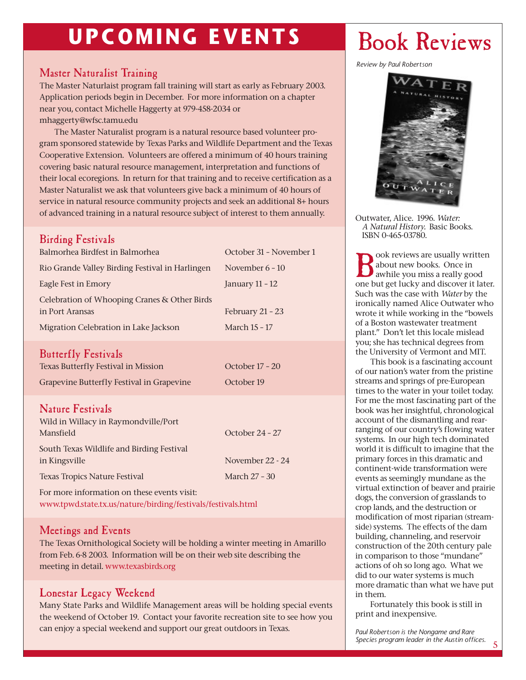## **UPCOMING EVENTS** Book Reviews

#### Master Naturalist Training

The Master Naturlaist program fall training will start as early as February 2003. Application periods begin in December. For more information on a chapter near you, contact Michelle Haggerty at 979-458-2034 or mhaggerty@wfsc.tamu.edu

The Master Naturalist program is a natural resource based volunteer program sponsored statewide by Texas Parks and Wildlife Department and the Texas Cooperative Extension. Volunteers are offered a minimum of 40 hours training covering basic natural resource management, interpretation and functions of their local ecoregions. In return for that training and to receive certification as a Master Naturalist we ask that volunteers give back a minimum of 40 hours of service in natural resource community projects and seek an additional 8+ hours of advanced training in a natural resource subject of interest to them annually.

#### Birding Festivals

| Balmorhea Birdfest in Balmorhea                                                                          | October 31 - November 1           |
|----------------------------------------------------------------------------------------------------------|-----------------------------------|
| Rio Grande Valley Birding Festival in Harlingen                                                          | November $6 - 10$                 |
| Eagle Fest in Emory                                                                                      | January 11 - 12                   |
| Celebration of Whooping Cranes & Other Birds<br>in Port Aransas<br>Migration Celebration in Lake Jackson | February 21 - 23<br>March 15 - 17 |
| <b>Butterfly Festivals</b><br>Texas Butterfly Festival in Mission                                        | October 17 - 20                   |

Grapevine Butterfly Festival in Grapevine **October 19** 

#### Nature Festivals

| Wild in Willacy in Raymondville/Port      |                  |
|-------------------------------------------|------------------|
| Mansfield                                 | October 24 - 27  |
| South Texas Wildlife and Birding Festival |                  |
| in Kingsville                             | November 22 - 24 |
| <b>Texas Tropics Nature Festival</b>      | March 27 - 30    |
|                                           |                  |

For more information on these events visit: www.tpwd.state.tx.us/nature/birding/festivals/festivals.html

#### Meetings and Events

The Texas Ornithological Society will be holding a winter meeting in Amarillo from Feb. 6-8 2003. Information will be on their web site describing the meeting in detail. www.texasbirds.org

#### Lonestar Legacy Weekend

Many State Parks and Wildlife Management areas will be holding special events the weekend of October 19. Contact your favorite recreation site to see how you can enjoy a special weekend and support our great outdoors in Texas.

*Review by Paul Robertson*



Outwater, Alice. 1996. *Water: A Natural History.* Basic Books. ISBN 0-465-03780.

**B**ook reviews are usually written<br>awhile you miss a really good<br>one but get lucky and discover it late about new books. Once in one but get lucky and discover it later. Such was the case with *Water* by the ironically named Alice Outwater who wrote it while working in the "bowels of a Boston wastewater treatment plant." Don't let this locale mislead you; she has technical degrees from the University of Vermont and MIT.

This book is a fascinating account of our nation's water from the pristine streams and springs of pre-European times to the water in your toilet today. For me the most fascinating part of the book was her insightful, chronological account of the dismantling and rearranging of our country's flowing water systems. In our high tech dominated world it is difficult to imagine that the primary forces in this dramatic and continent-wide transformation were events as seemingly mundane as the virtual extinction of beaver and prairie dogs, the conversion of grasslands to crop lands, and the destruction or modification of most riparian (streamside) systems. The effects of the dam building, channeling, and reservoir construction of the 20th century pale in comparison to those "mundane" actions of oh so long ago. What we did to our water systems is much more dramatic than what we have put in them.

Fortunately this book is still in print and inexpensive.

*Paul Robertson is the Nongame and Rare Species program leader in the Austin offices.*

5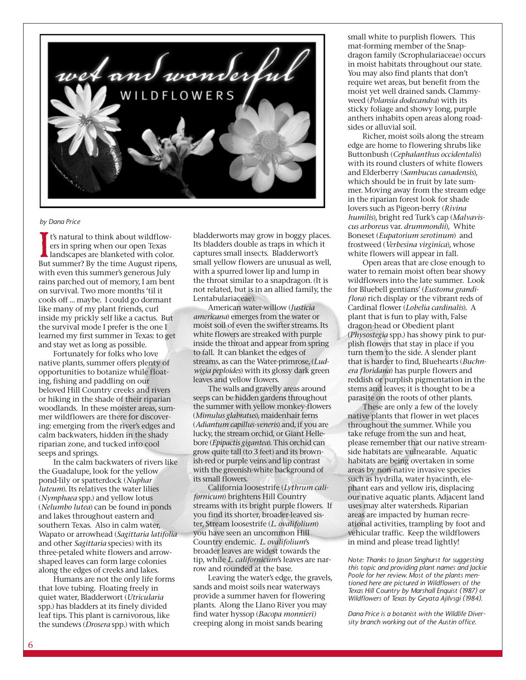

#### *by Dana Price*

It's natural to think about wildflowers in spring when our open Texas landscapes are blanketed with color.<br>But summer? By the time August ripens, t's natural to think about wildflowers in spring when our open Texas landscapes are blanketed with color. with even this summer's generous July rains parched out of memory, I am bent on survival. Two more months 'til it cools off … maybe. I could go dormant like many of my plant friends, curl inside my prickly self like a cactus. But the survival mode I prefer is the one I learned my first summer in Texas: to get and stay wet as long as possible.

Fortunately for folks who love native plants, summer offers plenty of opportunities to botanize while floating, fishing and paddling on our beloved Hill Country creeks and rivers or hiking in the shade of their riparian woodlands. In these moister areas, summer wildflowers are there for discovering: emerging from the river's edges and calm backwaters, hidden in the shady riparian zone, and tucked into cool seeps and springs.

In the calm backwaters of rivers like the Guadalupe, look for the yellow pond-lily or spatterdock (*Nuphar luteum*). Its relatives the water lilies (*Nymphaea* spp.) and yellow lotus (*Nelumbo lutea*) can be found in ponds and lakes throughout eastern and southern Texas. Also in calm water, Wapato or arrowhead (*Sagittaria latifolia* and other *Sagittaria* species) with its three-petaled white flowers and arrowshaped leaves can form large colonies along the edges of creeks and lakes.

Humans are not the only life forms that love tubing. Floating freely in quiet water, Bladderwort (*Utricularia* spp.) has bladders at its finely divided leaf tips. This plant is carnivorous, like the sundews (*Drosera* spp.) with which

bladderworts may grow in boggy places. Its bladders double as traps in which it captures small insects. Bladderwort's small yellow flowers are unusual as well, with a spurred lower lip and lump in the throat similar to a snapdragon. (It is not related, but is in an allied family, the Lentabulariaceae).

American water-willow (*Justicia americana*) emerges from the water or moist soil of even the swifter streams. Its white flowers are streaked with purple inside the throat and appear from spring to fall. It can blanket the edges of streams, as can the Water-primrose, (*Ludwigia peploides*) with its glossy dark green leaves and yellow flowers.

The walls and gravelly areas around seeps can be hidden gardens throughout the summer with yellow monkey-flowers (*Mimulus glabratus*), maidenhair ferns (*Adiantum capillus-veneris*) and, if you are lucky, the stream orchid, or Giant Hellebore (*Epipactis gigantea*). This orchid can grow quite tall (to 3 feet) and its brownish-red or purple veins and lip contrast with the greenish-white background of its small flowers.

California loosestrife (*Lythrum californicum*) brightens Hill Country streams with its bright purple flowers. If you find its shorter, broader-leaved sister, Stream loosestrife (*L. ovalifolium*) you have seen an uncommon Hill Country endemic. *L. ovalifolium*'s broader leaves are widest towards the tip, while *L. californicum*'s leaves are narrow and rounded at the base.

Leaving the water's edge, the gravels, sands and moist soils near waterways provide a summer haven for flowering plants. Along the Llano River you may find water hyssop (*Bacopa monnieri)* creeping along in moist sands bearing

small white to purplish flowers. This mat-forming member of the Snapdragon family (Scrophulariaceae) occurs in moist habitats throughout our state. You may also find plants that don't require wet areas, but benefit from the moist yet well drained sands. Clammyweed (*Polansia dodecandra*) with its sticky foliage and showy long, purple anthers inhabits open areas along roadsides or alluvial soil.

Richer, moist soils along the stream edge are home to flowering shrubs like Buttonbush (*Cephalanthus occidentalis*) with its round clusters of white flowers and Elderberry (*Sambucus canadensis*), which should be in fruit by late summer. Moving away from the stream edge in the riparian forest look for shade lovers such as Pigeon-berry (*Rivina humilis*), bright red Turk's cap (*Malvaviscus arboreus* var. *drummondii*), White Boneset (*Eupatorium serotinum*) and frostweed (*Verbesina virginica*), whose white flowers will appear in fall.

Open areas that are close enough to water to remain moist often bear showy wildflowers into the late summer. Look for Bluebell gentians' (*Eustoma grandiflora*) rich display or the vibrant reds of Cardinal flower (*Lobelia cardinalis*). A plant that is fun to play with, False dragon-head or Obedient plant (*Physostegia* spp.) has showy pink to purplish flowers that stay in place if you turn them to the side. A slender plant that is harder to find, Bluehearts (*Buchnera floridana*) has purple flowers and reddish or purplish pigmentation in the stems and leaves; it is thought to be a parasite on the roots of other plants.

These are only a few of the lovely native plants that flower in wet places throughout the summer. While you take refuge from the sun and heat, please remember that our native streamside habitats are vulnearable. Aquatic habitats are being overtaken in some areas by non-native invasive species such as hydrilla, water hyacinth, elephant ears and yellow iris, displacing our native aquatic plants. Adjacent land uses may alter watersheds. Riparian areas are impacted by human recreational activities, trampling by foot and vehicular traffic. Keep the wildflowers in mind and please tread lightly!

*Note: Thanks to Jason Singhurst for suggesting this topic and providing plant names and Jackie Poole for her review. Most of the plants mentioned here are pictured in Wildflowers of the Texas Hill Country by Marshall Enquist (1987) or Wildflowers of Texas by Geyata Ajilvsgi (1984).* 

*Dana Price is a botanist with the Wildlife Diversity branch working out of the Austin office.*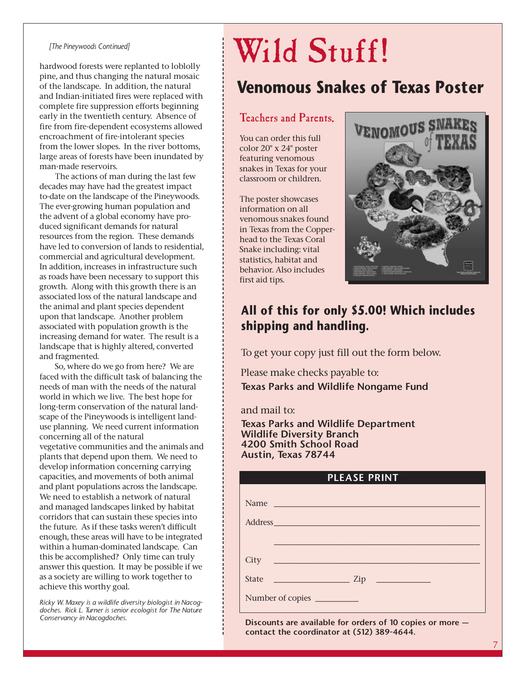#### *[The Pineywoods Continued]*

hardwood forests were replanted to loblolly pine, and thus changing the natural mosaic of the landscape. In addition, the natural and Indian-initiated fires were replaced with complete fire suppression efforts beginning early in the twentieth century. Absence of fire from fire-dependent ecosystems allowed encroachment of fire-intolerant species from the lower slopes. In the river bottoms, large areas of forests have been inundated by man-made reservoirs.

The actions of man during the last few decades may have had the greatest impact to-date on the landscape of the Pineywoods. The ever-growing human population and the advent of a global economy have produced significant demands for natural resources from the region. These demands have led to conversion of lands to residential, commercial and agricultural development. In addition, increases in infrastructure such as roads have been necessary to support this growth. Along with this growth there is an associated loss of the natural landscape and the animal and plant species dependent upon that landscape. Another problem associated with population growth is the increasing demand for water. The result is a landscape that is highly altered, converted and fragmented.

So, where do we go from here? We are faced with the difficult task of balancing the needs of man with the needs of the natural world in which we live. The best hope for long-term conservation of the natural landscape of the Pineywoods is intelligent landuse planning. We need current information concerning all of the natural vegetative communities and the animals and plants that depend upon them. We need to develop information concerning carrying capacities, and movements of both animal and plant populations across the landscape. We need to establish a network of natural and managed landscapes linked by habitat corridors that can sustain these species into the future. As if these tasks weren't difficult enough, these areas will have to be integrated within a human-dominated landscape. Can this be accomplished? Only time can truly answer this question. It may be possible if we as a society are willing to work together to achieve this worthy goal.

*Ricky W. Maxey is a wildlife diversity biologist in Nacogdoches. Rick L. Turner is senior ecologist for The Nature Conservancy in Nacogdoches.*

# Wild Stuff!

### **Venomous Snakes of Texas Poster**

#### Teachers and Parents,

You can order this full color 20" x 24" poster featuring venomous snakes in Texas for your classroom or children.

The poster showcases information on all venomous snakes found in Texas from the Copperhead to the Texas Coral Snake including: vital statistics, habitat and behavior. Also includes first aid tips.



#### **All of this for only \$5.00! Which includes shipping and handling.**

To get your copy just fill out the form below.

Please make checks payable to: **Texas Parks and Wildlife Nongame Fund**

and mail to:

**Texas Parks and Wildlife Department Wildlife Diversity Branch 4200 Smith School Road Austin, Texas 78744**

| <b>PLEASE PRINT</b> |
|---------------------|
|                     |
| Name                |
|                     |
|                     |
|                     |
|                     |
|                     |
|                     |
|                     |

**Discounts are available for orders of 10 copies or more contact the coordinator at (512) 389-4644.**